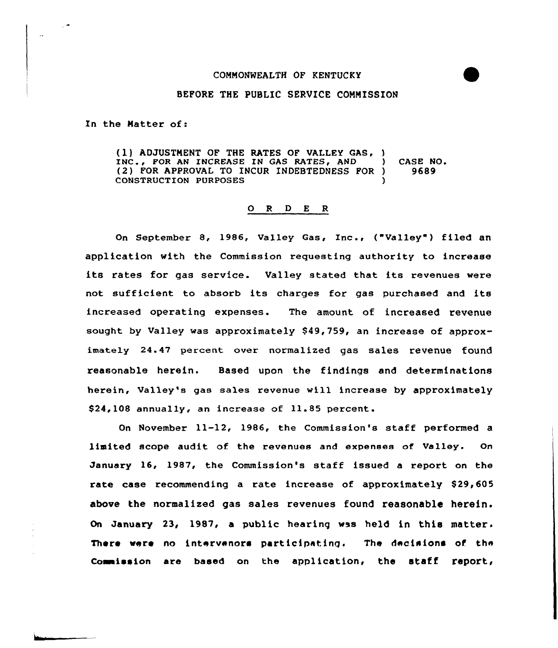# COMNONWEALTH OF KENTUCKY

## BEFORE THE PUBLIC SERVICE COMMISSION

In the Matter of:

(1) ADJUSTMENT OF THE RATES OF VALLEY GAS, )<br>INC., FOR AN INCREASE IN GAS RATES, AND INC., FOR AN INCREASE IN GAS RATES, AND (2) CASE NO.<br>(2) FOR APPROVAL TO INCUR INDEBTEDNESS FOR (2) 9689 (2) FOR APPROVAL TO INCUR INDEBTEDNESS FOR ) CONSTRUCTION PURPOSES )

#### 0 <sup>R</sup> <sup>D</sup> E <sup>R</sup>

On September 8, 1986, Valley Gas, inc., ("Valley"} filed an application with the Commission requesting authority to increase its rates for gas service. Valley stated that its revenues were not sufficient to absorb its charges for gas purchased and its increased operating expenses. The amount of increased revenue sought by Valley was approximately  $$49,759$ , an increase of approximately 24.47 percent over normalized gas sales revenue found reasonable herein. Based upon the findings and determinations herein, Valley's gas sales revenue will increase by approximately \$24,108 annually, an increase of 11.85 percent.

On November 11-12, 1986, the Commission's staff performed a limited scope audit of the revenues and expenses of Valley. On January 16, 1987, the Commission's staff issued a report on the rate case recommending a rate increase of approximately \$29,605 above the normalized gas sales revenues found reasonable herein. On January 23, 1987, a public hearing was held in this matter. There were no intervenors participating. The decisions of the Commission are based on the application, the staff report,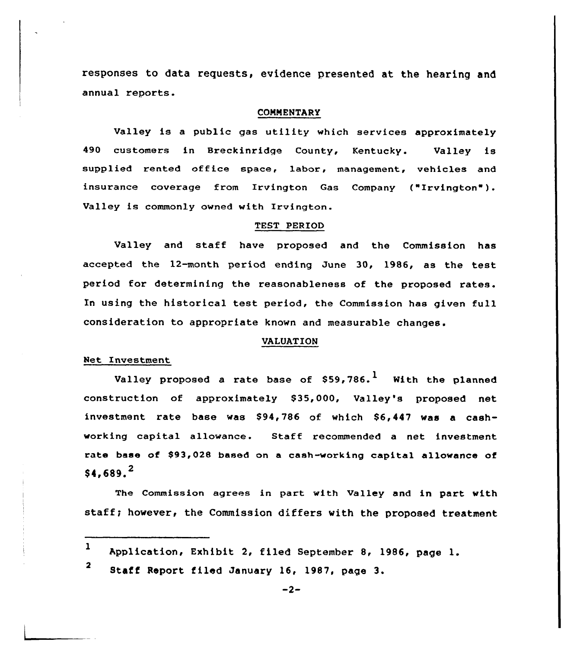responses to data requests, evidence presented at the hearing and annual reports.

#### COMMENTARY

Valley is a public gas utility which services approximately 490 customers in Breckinridge County, Kentucky. Valley is supplied rented office space, labor, management, vehicles and insurance coverage from Irvington Gas Company ("Irvington"). Valley is commonly owned with Irvington.

# TEST PERIOD

Valley and staff have proposed and the Commission has accepted the 12-month period ending June 30, 1986, as the test period for determining the reasonableness of the proposed rates. In using the historical test period, the Commission has given full consideration to appropriate known and measurable changes.

## VALUATION

# Net Investment

Valley proposed a rate base of  $$59,786$ .<sup>1</sup> With the planned construction of approximately \$35,000, Valley's proposed net investment rate base was \$94,786 of which \$6,447 was a cashworking capital allowance. Staff recommended a net investment rate base of \$93,028 based on a cash-working capital allowance of  $$4.689.<sup>2</sup>$ 

The Commission agrees in part with valley and in part with staff; however, the Commission differs with the proposed treatment

<sup>2</sup> Staff Report filed January 16, 1987, page 3.

<sup>1</sup> Application, Exhibit 2, filed September 8, 1986, page 1.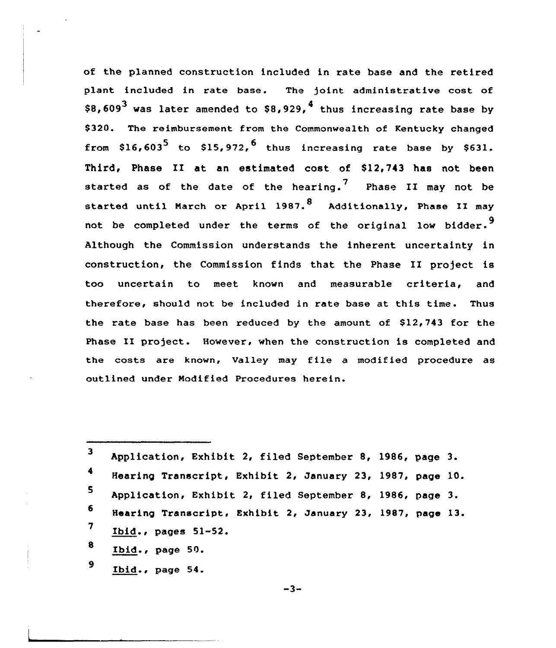of the planned construction included in rate base and the retired plant included in rate base. The )oint administrative cost of \$8,609<sup>3</sup> was later amended to \$8,929,<sup>4</sup> thus increasing rate base by \$320. The reimbursement from the Commonwealth of Kentucky changed from \$16,603<sup>5</sup> to \$15,972,<sup>6</sup> thus increasing rate base by \$631. Third, Phase II at an estimated cost of \$12,743 has not been started as of the date of the hearing.<sup>7</sup> Phase II may not be started until March or April 1987.<sup>8</sup> Additionally, Phase II may not be completed under the terms of the original low bidder.<sup>9</sup> Although the Commission understands the inherent uncertainty in construction, the Commission finds that the Phase II project is too uncertain to meet known and measurable criteria, and therefore, should not be included in rate base at this time. Thus the rate base has been reduced by the amount of  $$12,743$  for the Phase II project. However, when the construction is completed and the costs are known, Valley may file <sup>a</sup> modified procedure as outlined under Modified Procedures herein.

| 3  | Application, Exhibit 2, filed September 8, 1986, page 3.  |  |  |
|----|-----------------------------------------------------------|--|--|
| 4  | Hearing Transcript, Exhibit 2, January 23, 1987, page 10. |  |  |
| 5  | Application, Exhibit 2, filed September 8, 1986, page 3.  |  |  |
| 6. | Hearing Transcript, Exhibit 2, January 23, 1987, page 13. |  |  |
| 7  | Ibid., pages 51-52.                                       |  |  |
| 8  | Ibid., page 50.                                           |  |  |
| 9  | Ibid., page 54.                                           |  |  |

 $-3-$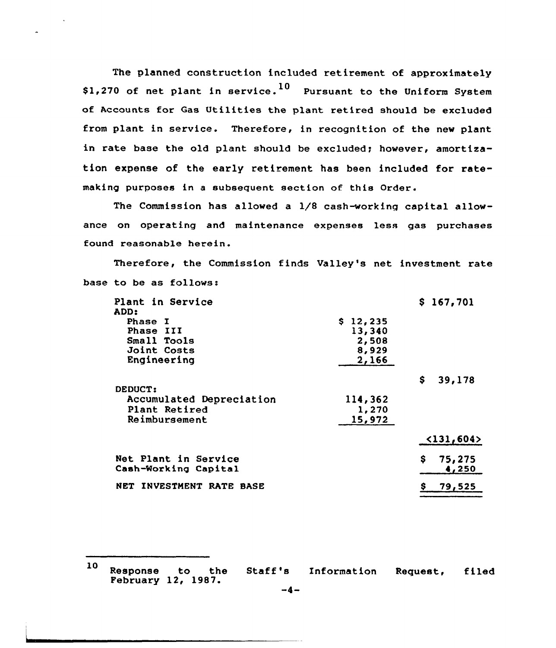The planned construction included retirement of approximately \$1,270 of net plant in service.<sup>10</sup> Pursuant to the Uniform System of Accounts for Gas Utilities the plant retired should be excluded from plant in service. Therefore, in recognition of the new plant in rate base the old plant should be excluded; however, amortization expense of the early retirement has been included for ratemaking purposes in a subsequent section of this Order.

The Commission has allowed a 1/8 cash-working capital allowance on operating and maintenance expenses less gas purchases found reasonable herein.

Therefore, the Commission finds Valley's net investment rate base to be as follows:

| Plant in Service<br>ADD: |          | \$167,701                  |
|--------------------------|----------|----------------------------|
| Phase I                  | \$12,235 |                            |
| Phase III                | 13,340   |                            |
| Small Tools              | 2,508    |                            |
| Joint Costs              | 8,929    |                            |
| Engineering              | 2,166    |                            |
|                          |          | \$<br>39,178               |
| DEDUCT:                  |          |                            |
| Accumulated Depreciation | 114,362  |                            |
| Plant Retired            | 1,270    |                            |
| Reimbursement            | 15,972   |                            |
|                          |          | $\langle 131, 604 \rangle$ |
| Net Plant in Service     |          | \$<br>75,275               |
| Cash-Working Capital     |          | 4,250                      |
| NET INVESTMENT RATE BASE |          | 79,525                     |
|                          |          |                            |

<sup>10</sup> Response to the Staff's Information Request, filed Response to the Staff's<br>February 12, 1987.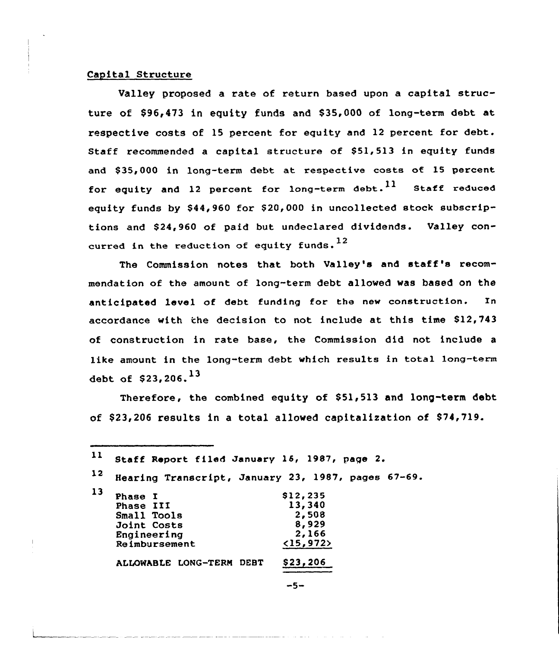# Capital Structure

Valley proposed a rate of return based upon a capital structure of \$96,473 in equity funds and \$35,000 af long-term debt at respective costs of 15 percent for equity and 12 percent for debt. Staff recommended a capital structure of \$51,513 in equity funds and \$35,000 in long-term debt at respective costs of 15 percent for equity and 12 percent for long-term debt.  $^{11}$  Staff reduced equity funds by \$44,960 for \$20,000 in uncollected stock subscriptions and \$24,960 of paid but undeclared dividends. Valley concurred in the reduction of equity funds.  $^{12}$ 

The Commission notes that both Valley's and staff's recommendatian of the amount of long-term debt allowed was based on the anticipated level af debt funding for the new construction. In accordance with the decision to not include at this time \$12,743 of construction in rate base, the Commission did not include a like amount in the long-term debt which results in total long-term debt of \$23,206.<sup>13</sup>

Therefore, the combined equity of \$51,513 and long-term debt of \$23,206 results in a total allowed capitalization of \$74,719.

| 11 | Staff Report filed January 15, 1987, page 2.       |                    |
|----|----------------------------------------------------|--------------------|
| 12 | Hearing Transcript, January 23, 1987, pages 67-69. |                    |
| 13 | <b>Phase I</b><br>Phase III                        | \$12,235<br>13,340 |
|    | Small Tools<br>Joint Costs                         | 2,508<br>8,929     |
|    | Engineering<br>Reimbursement                       | 2,166<br><15,972>  |
|    | ALLOWABLE LONG-TERM DEBT                           | \$23,206           |

-5-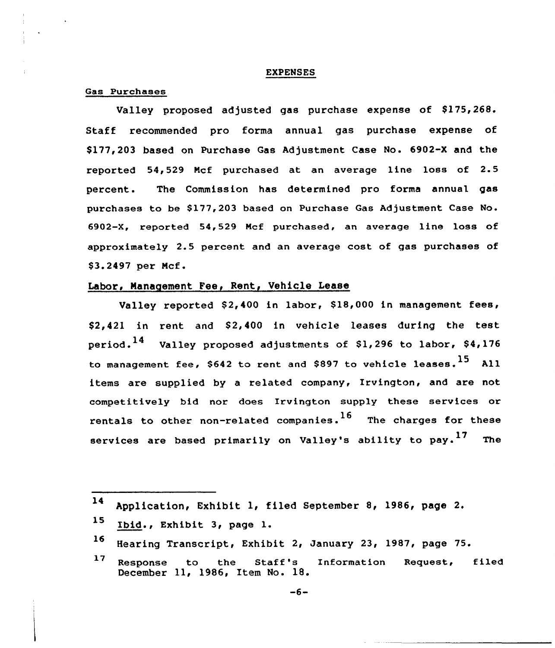### EXPENSES

### Gas Purchases

Valley proposed adjusted gas purchase expense of \$175,268. Staff recommended pro forma annual gas purchase expense of \$ 177,203 based on Purchase Gas Adjustment Case No. 6902-X and the reported 54,529 Mcf purchased at an average line loss of 2.5 percent. The Commission has determined pro forms annual gas purchases to be \$177,203 based on Purchase Gas Adjustment Case No. 6902-X, reported 54,529 Mcf purchased, an average line loss of approximately 2.5 percent and an average cost of gas purchases of \$ 3.2497 per Mcf.

# Labor, Management Fee, Rent, Vehicle Lease

Valley reported  $$2,400$  in labor,  $$18,000$  in management fees, \$2,421 in rent and \$2,400 in vehicle leases during the test period.<sup>14</sup> Valley proposed adjustments of \$1,296 to labor, \$4,176 to management fee, \$642 to rent and \$897 to vehicle leases.  $^{15}$  All items are supplied by a related company, Irvington, and are not competitively bid nor does Irvington supply these services or rentals to other non-related companies.<sup>16</sup> The charges for these services are based primarily on Valley's ability to pay.<sup>17</sup> The

<sup>14</sup> Application, Exhibit 1, filed September 8, 1986, page 2.

<sup>15</sup> Ibid., Exhibit 3, page l.

<sup>16</sup> Hearing Transcript, Exhibit 2, January 23, 1987, page 75.

<sup>17</sup> Response to the Staff's Information Request, filed December 11, 1986, Item No. 18.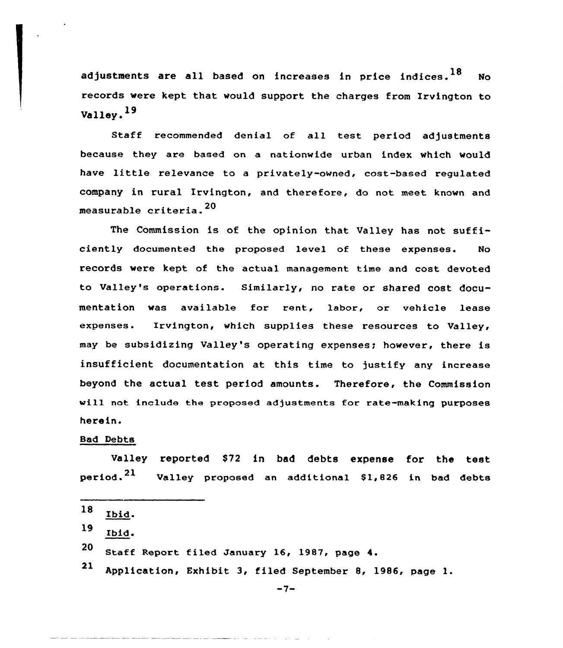adjustments are all based on increases in price indices.  $^{18}$  No records were kept that would support the charges from Irvington to  $V$ alley. $^{19}$ 

Staff recommended denial of all test period adjustments because they are based on a nationwide urban index which would have little relevance to <sup>a</sup> privately-owned, cost-based regulated company in rural Irvington, and therefore, do not meet known and measurable criteria.<sup>20</sup>

The Commission is of the opinion that Valley has not sufficiently documented the proposed level of these expenses. No records were kept of the actual management time and cost devoted to Valley's operations. Similarly, no rate or shared cost documentation was available for rent, labor, or vehicle lease expenses. lrvington, which supplies these resources to Valley, may be subsidizing Valley's operating expenses; however, there is insufficient documentation at this time to justify any increase beyond the actual test period amounts. Therefore, the Commission will not include the proposed adjustments for rate-making purposes herein.

# Bad Debts

Valley reported \$72 in bad debts expense for the test period.<sup>21</sup> Valley proposed an additional \$1,826 in bad debts

- 20 Staff Report filed January 16, 1987, page 4.
- <sup>21</sup> Application, Exhibit 3, filed September &, 1986, page

 $-7-$ 

<sup>18</sup> Ibid.

<sup>19</sup> Ibid.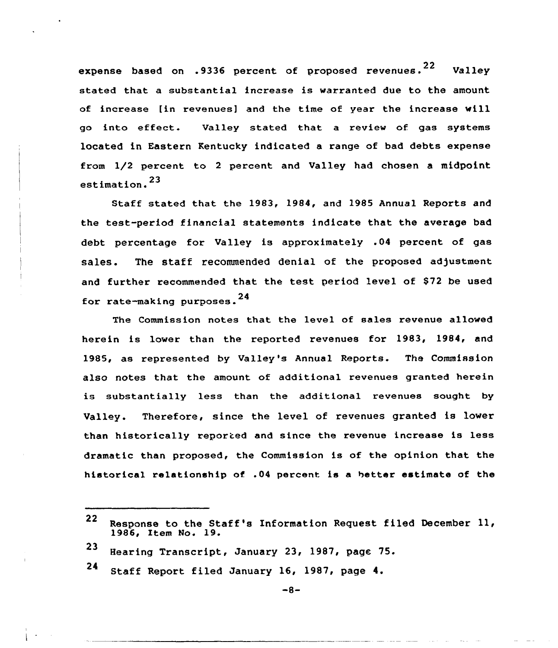expense based on .9336 percent of proposed revenues.<sup>22</sup> Valley stated that a substantial increase is warranted due to the amount of increase [in revenues] and the time of year the increase will go into effect. Valley stated that <sup>a</sup> review of. gas systems located in Eastern Kentucky indicated a range of bad debts expense from 1/2 percent to <sup>2</sup> percent and Valley had chosen a midpoint estimation. <sup>23</sup>

Staff stated that the 1983, 1984, and 1985 Annual Reports and the test-period financial statements indicate that the average bad debt percentage for Valley is approximately .04 percent of gas sales. The staff recommended denial of the proposed adjustment and further recommended that the test period level of \$72 be used for rate-making purposes.<sup>24</sup>

The Commission notes that the level of sales revenue allowed herein is lower than the reported revenues for 1983, 1984, and 1985, as represented by Valley's Annual Reports. The Commission also notes that the amount of additional revenues granted herein is substantially less than the additional revenues sought by Valley. Therefore, since the level of revenues granted is lower than historically reported and since the revenue increase is less dramatic than proposed, the Commission is of the opinion that the historical relationship of .04 percent is a better estimate of the

<sup>22</sup> Response to the Staff's Information Request filed December 11, 1986, Item No. 19.

<sup>23</sup> Hearing Transcript, January 23, 1987, page 75.

<sup>24</sup> Staff Report filed January 16, 1987, page 4.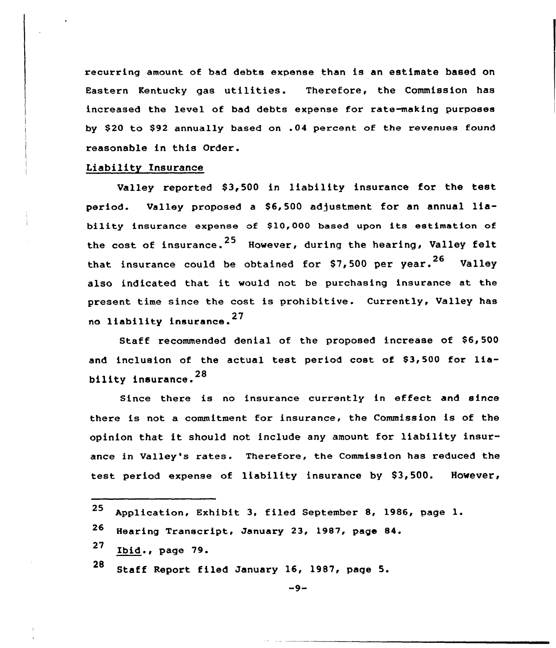recurring amount of bad debts expense than is an estimate based on Eastern Kentucky gas utilities. Therefore, the Commission has increased the level of bad debts expense for ratemaking purposes by \$20 to \$92 annually based on .04 percent of the revenues found reasonable in this Order.

# Liability Insurance

Valley reported \$3,500 in liability insurance for the test period. Valley proposed a \$6,500 adjustment for an annual liability insurance expense of \$10,000 based upon its estimation of the cost of insurance.<sup>25</sup> However, during the hearing, Valley felt that insurance could be obtained for  $$7,500$  per year.<sup>26</sup> Valley also indicated that it would not be purchasing insurance at the present time since the cost is prohibitive. Currently, Valley has no liability insurance. <sup>27</sup>

Staff recommended denial of the proposed increase of \$6, 500 and inclusion of the actual test period cost of \$3,500 for liability insurance. <sup>28</sup>

Since there is no insurance currently in effect and since there is not a commitment for insurance, the Commission is of the opinion that it should not include any amount for liability insurance in Valley's rates. Therefore, the Commission has reduced the test period expense of liability insurance by \$3,500. However,

| 25 Application, Exhibit 3, filed September 8, 1986, page 1. |  |  |  |  |
|-------------------------------------------------------------|--|--|--|--|
|                                                             |  |  |  |  |

- 27 Ibid., page 79.
- <sup>28</sup> Staff Report filed January 16, 1987, page 5.

<sup>26</sup> Hearing Transcript, January 23, 1987, page 84.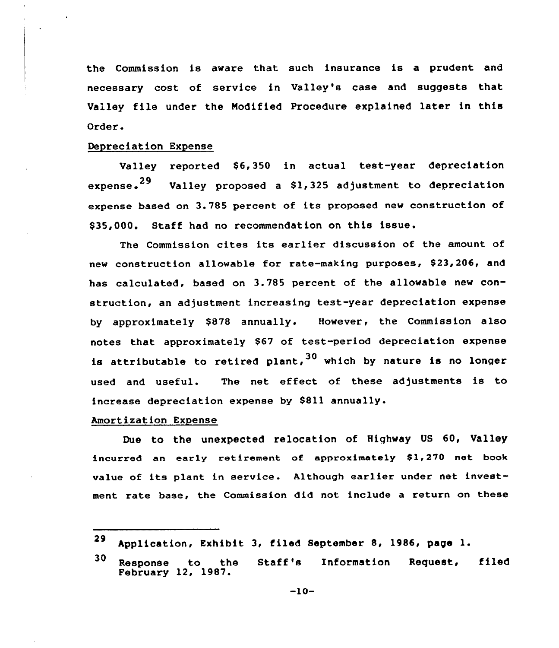the Commission is aware that such insurance is a prudent and necessary cost of service in Valley's case and suggests that Valley file under the Nodified Procedure explained later in this Order.

# Depreciation Expense

Valley reported \$6,350 in actual test-year depreciation expense.<sup>29</sup> Valley proposed a \$1,325 adjustment to depreciation expense based on 3.785 percent of its proposed new construction of \$35,000. Staff had no recommendation on this issue.

The Commission cites its earlier discussion of the amount of new construction allowable for rate-making purposes, \$23,206, and has calculated, based on 3.785 percent of the allowable new construction, an adjustment increasing test-year depreciation expense by approximately \$878 annually. However, the Commission also notes that approximately \$67 of test-period depreciation expense is attributable to retired plant,  $30$  which by nature is no longer used and useful. The net effect of these adjustments is to increase depreciation expense by S811 annually.

## Amortization Expense

Due to the unexpected relocation of Highway US 60, Valley incurred an early retirement of approximately \$1,270 net book value of its plant in service. Although earlier under net investment rate base, the Commission did not include a return on these

<sup>29</sup> Application, Exhibit 3, filed September 8, 1986, page 1.

<sup>30</sup> Response to the Staff's Information Request, filed February 12, 1987.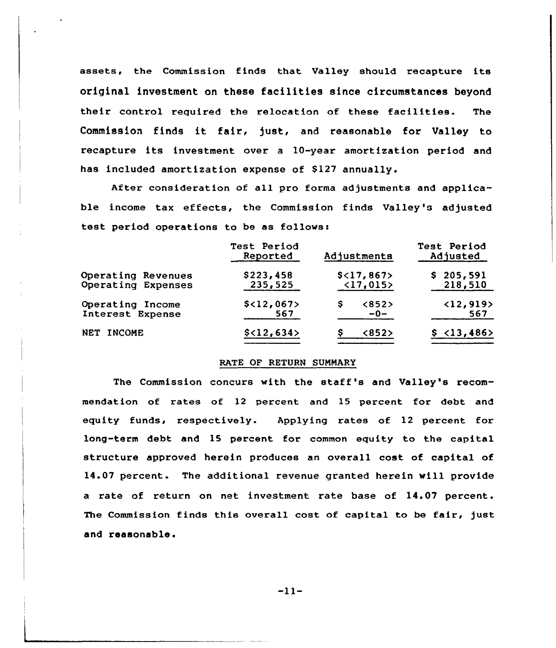assets, the Commission finds that Valley should recapture its original investment on these facilities since circumstances beyond their control required the relocation of these facilities. The Commission finds it fair, just, and reasonable for Valley to recapture its investment over <sup>a</sup> 10-year amortization period and has included amortization expense of \$127 annually.

After consideration of all pro forma adjustments and applicable income tax effects, the Commission finds Valley's adjusted test period operations to be as

|                                          | Test Period<br>Reported | Adjustments                             | Test Period<br>Adjusted          |  |  |
|------------------------------------------|-------------------------|-----------------------------------------|----------------------------------|--|--|
| Operating Revenues<br>Operating Expenses | \$223,458<br>235,525    | \$<17,867><br>$\langle 17, 015 \rangle$ | \$205,591<br>218,510             |  |  |
| Operating Income<br>Interest Expense     | \$<12,067><br>567       | <852<br>s<br>$-0-$                      | $\langle 12, 919 \rangle$<br>567 |  |  |
| NET INCOME                               | \$<12,634>              | <852>                                   | \$ 13,486>                       |  |  |

## RATE OF RETURN SUMMARy

The Commission concurs with the staff's and Valley's recommendation of rates of 12 percent and 15 percent for debt and equity funds, respectively. Applying rates of 12 percent for long-term debt and 15 percent for common equity to the capital structure approved herein produces an overall cost of capital of 14.07 percent. The additional revenue granted herein will provide a rate of return on net investment rate base of 14.07 percent. The Commission finds this overall cost of capital to be fair, just and reasonable.

-11-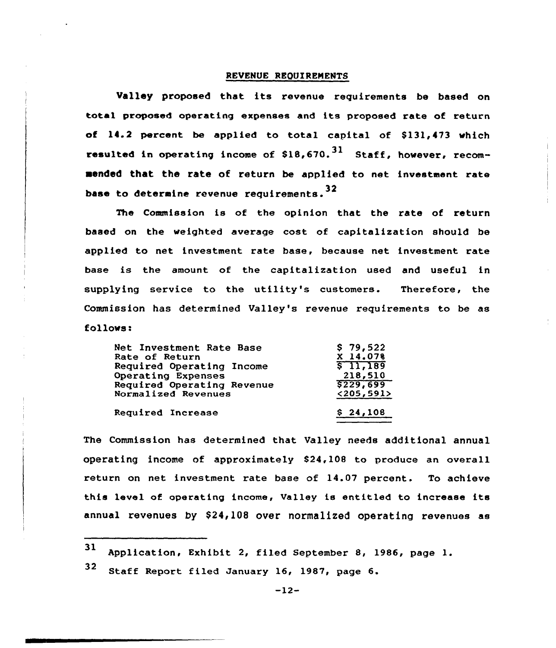#### REVENUE REQUIREMENTS

Valley proposed that its revenue requirements be based on total proposed operating expenses and its proposed rate of return of  $14.2$  percent be applied to total capital of  $$131.473$  which resulted in operating income of  $$18,670.<sup>31</sup>$  Staff, however, recomaended that the rate of return be applied to net investment rate base to determine revenue requirements.  $^{32}$ 

The Commission is of the opinion that the rate of return based on the weighted average cost of capitalization should be applied to net investment rate base, because net investment rate base is the amount of the capitalization used and useful in supplying service to the utility's customers. Therefore, the Commission has determined Valley's revenue requirements to be as follows:

| \$229,699<br>< 205, 591 |
|-------------------------|
|                         |
|                         |
| 218,510                 |
| \$11,189                |
| X 14.078                |
| \$79,522                |
|                         |

The Commission has determined that Valley needs additional annual operating income of approximately S24,108 to produce an overall return on net investment rate base of 14.07 percent. To achieve this level of operating income, Va1ley is entitled to increase its annual revenues by \$24,108 over normalized operating revenues as

<sup>31</sup> Application, Exhibit 2, filed September 8, 1986, page l.

 $32$  Staff Report filed January 16, 1987, page 6.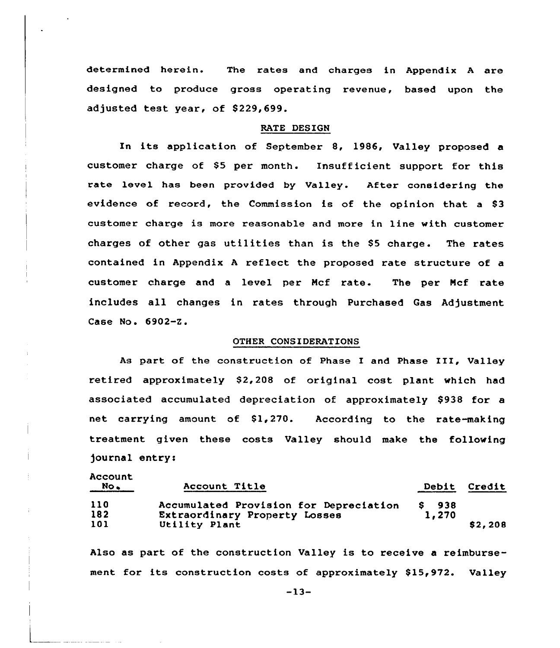determined herein. The rates and charges in Appendix <sup>A</sup> are designed to produce gross operating revenue, based upon the adjusted test year, of 8229,699.

### RATE DESIGN

In its application of September 8, 1986, Valley proposed a customer charge of S5 per month. Insufficient support for this rate level has been provided by Valley. After considering the evidence of record, the Commission is of the opinion that a \$3 customer charge is more reasonable and more in line with customer charges of other gas utilities than is the 85 charge. The rates contained in Appendix <sup>A</sup> reflect the proposed rate structure of a customer charge and <sup>a</sup> level per Hcf rate. The per Ncf rate includes all changes in rates through Purchased Gas Adjustment Case No. 6902-Z.

#### OTHER CONSIDERATIONS

As part of the construction of Phase I and Phase III, Valley retired approximately \$2,208 of original cost plant which had associated accumulated depreciation of approximately \$938 for a net carrying amount of \$1,270. According to the rate-making treatment given these costs Valley should make the following journal entry<

| <br>$NO$ | Account Title                          | <b>Debit</b> | Credit  |
|----------|----------------------------------------|--------------|---------|
| 110      | Accumulated Provision for Depreciation | S 938        |         |
| 182      | Extraordinary Property Losses          | 1,270        |         |
| 101      | Utility Plant                          |              | \$2,208 |

Account

Also as part of the construction Valley is to receive a reimbursement for its construction costs of approximately \$15,972. Valley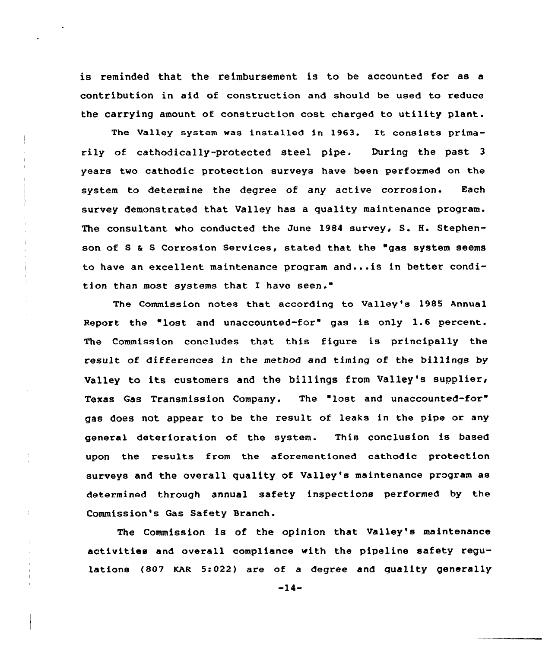is reminded that the reimbursement is to be accounted for as a contribution in aid of construction and should be used to reduce the carrying amount of construction cost charged to utility plant.

The Va1ley system was installed in 1963. It consists primarily of cathodically-protected steel pipe. During the past <sup>3</sup> years two cathodic protection surveys have been performed on the system to determine the degree of any active corrosion. Each survey demonstrated that Valley has a quality maintenance program. The consultant who conducted the June 1984 survey, S. H. Stephenson of S & S Corrosion Services, stated that the "gas system seems to have an excellent maintenance program and...is in better condition than most systems that I have seen."

The Commission notes that. according to Valley's 1985 Annual Report the "lost and unaccounted-for" gas is only 1.6 percent. The Commission concludes that this figure is principally the result of differences in the method and timing of the billings by Valley to its customers and the billings from Valley's supplier, Texas Gas Transmission Company. The 'lost and unaccounted-for" gas does not appear to be the result of leaks in the pipe or any general deterioration of the system. This conclusion is based upon the results from the aforementioned cathodic protection surveys and the overall quality of Valley's maintenance program as determined through annual safety inspections performed by the Commission's Gas Safety Branch.

The Commission is of the opinion that Valley's maintenance activities and overall compliance with the pipeline safety regulations (807 KAR 5:022) are of a degree and quality generally

-14-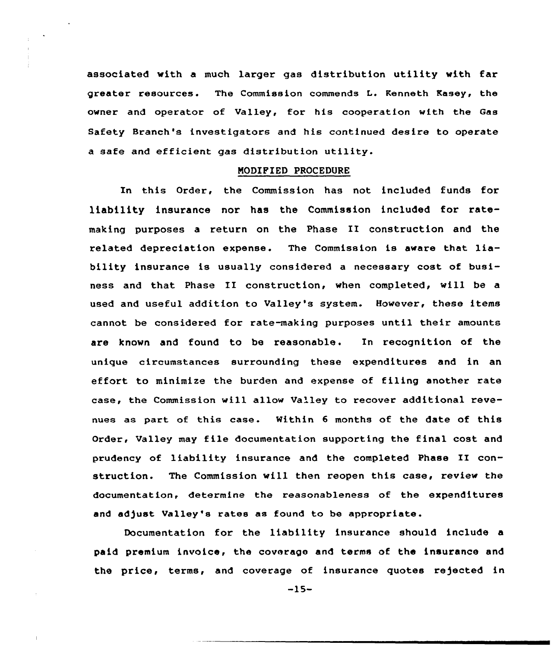associated with a much larger gas distribution utility with far greater resources. The Commission commends L. Kenneth Kasey, the owner and operator of Valley, for his cooperation with the Gas Safety Branch's investigators and his continued desire to operate a safe and efficient gas distribution utility.

#### NODIFIED PROCEDURE

In this Order, the Commission has not included funds for liability insurance nor has the Commission included for ratemaking purposes <sup>a</sup> return on the Phase II construction and the related depreciation expense. The Commission is aware that liability insurance is usually considered a necessary cost of business and that Phase II construction, when completed, will be <sup>a</sup> used and useful addition to Valley's system. However, these items cannot be considered for rate-making purposes until their amounts are known and found to be reasonable. In recognition of the unique circumstances surrounding these expenditures and in an effort to minimize the burden and expense of filing another rate case, the Commission will allow Va'ley to recover additional revenues as part of this case. Within <sup>6</sup> months of the date of this Order, Valley may file documentation supporting the final cost and prudency of liability insurance and the completed Phase II construction. The Commission will then reopen this case, review the documentation, determine the reasonableness of the expenditures and adjust Valley's rates as found to be appropriate.

Documentation for the liability insurance should include a paid premium invoice, the coverage and terms of the insurance and the price, terms, and coverage of insurance quotes rejected in

-15-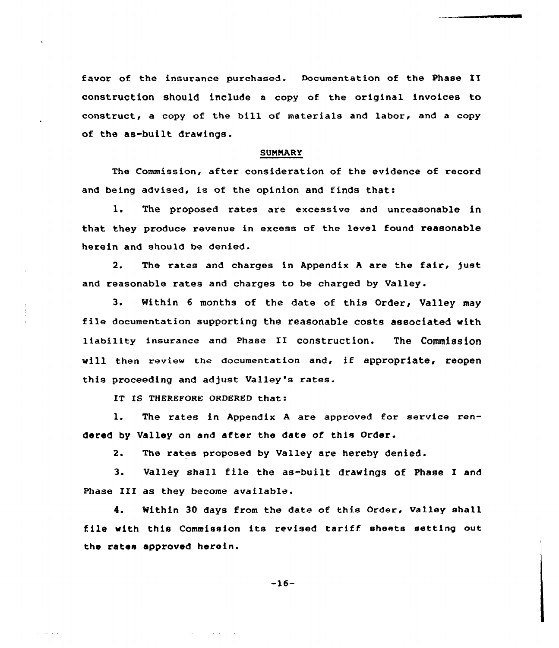favor of the insurance purchased. Documentation of the Phase II construction should include a copy of the original invoices to construct, a copy of the bill of materials and labor, and <sup>a</sup> copy of the as-built drawings.

### **SUMMARY**

The Commission, after consideration of the evidence of record and being advised, is of the opinion and finds that:

1. The proposed rates are excessive and unreasonable in that they produce revenue in excess of the level found reasonable herein and should be denied.

2. The rates and charges in Appendix A are the fair, just and reasonable rates and charges to be charged by Valley.

3. Within <sup>6</sup> months of the date of this Order, Valley may file documentation supporting the reasonable costs associated with liability insurance and Phase II construction. The Commission will then review the documentation and, if appropriate, reopen this proceeding and adjust Valley's rates.

IT IS THEREFORE ORDERED that:

1. The rates in Appendix <sup>A</sup> are approved for service rendered by Valley on and after the date of this Order.

2. The rates proposed by Valley are hereby denied.

3. Valley shall file the as-built drawings of Phase I and Phase III as they become available.

4. Within 30 days from the date of this Order, Valley shall file with this Commission its revised tariff sheets setting out the rates approved herein.

-16-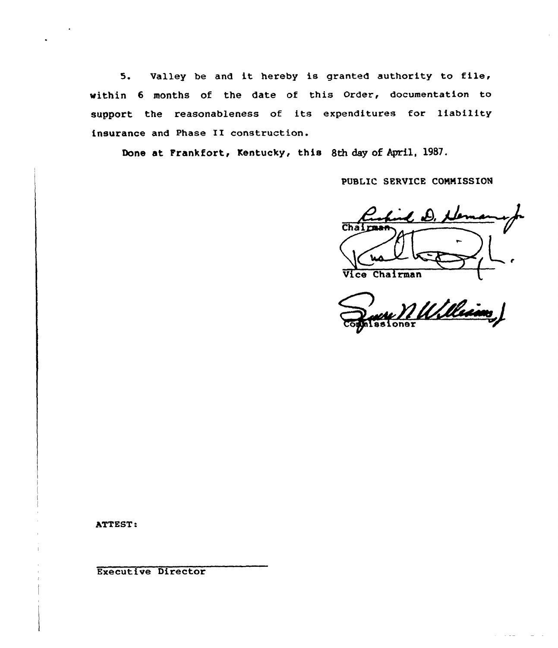5. Ualley be and it hereby is granted authority to file, within 6 months of the date of this Order, documentation to support the reasonableness of its expenditures for liability insurance and Phase II construction.

Done at Frankfort, Kentucky, this 8th day of April, 1987.

PUBLIC SERVICE COMMISSION

 $Chai$ Vice Chairman

we MULleim,

ATTEST:

Executive Director